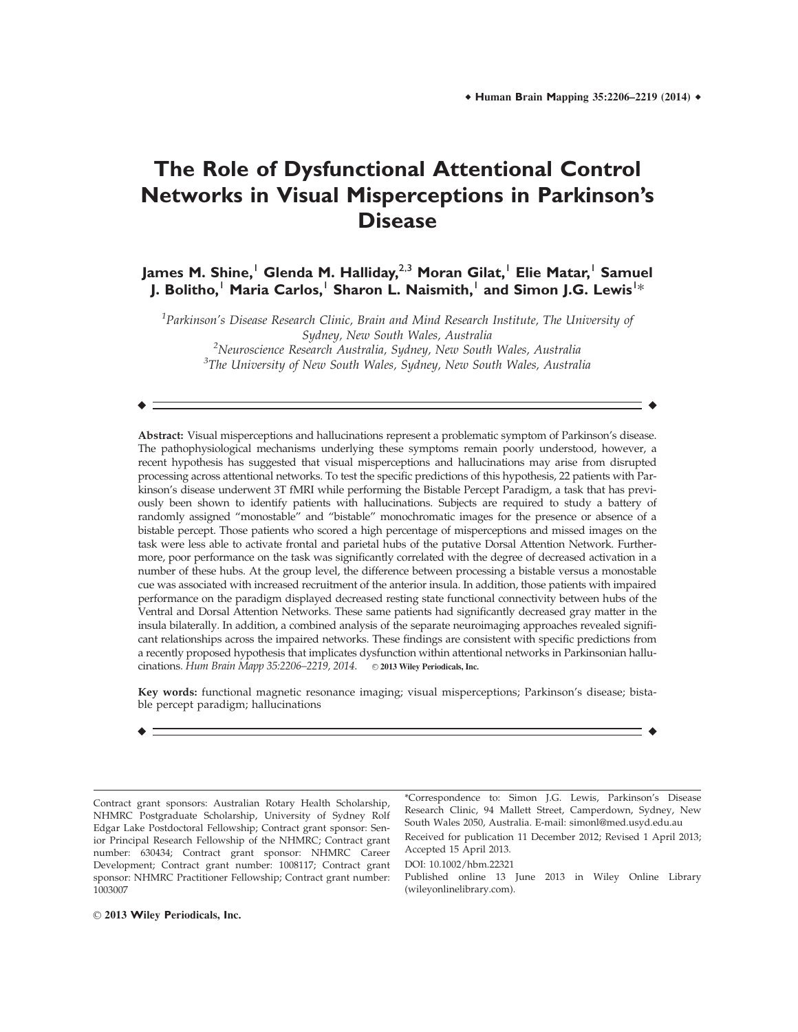# **The Role of Dysfunctional Attentional Control Networks in Visual Misperceptions in Parkinson's Disease**

**James M. Shine,**<sup>1</sup> **Glenda M. Halliday,**2,3 **Moran Gilat,**<sup>1</sup> **Elie Matar,**<sup>1</sup> **Samuel J. Bolitho,**<sup>1</sup> **Maria Carlos,**<sup>1</sup> **Sharon L. Naismith,**<sup>1</sup> **and Simon J.G. Lewis**<sup>1</sup> \*

<sup>1</sup>Parkinson's Disease Research Clinic, Brain and Mind Research Institute, The University of Sydney, New South Wales, Australia<br><sup>2</sup>Newroscience Research Australia, Sydney, New South

<sup>2</sup>Neuroscience Research Australia, Sydney, New South Wales, Australia<br><sup>3</sup>The University of New South Wales, Sydney, New South Wales, Austral  $3$ The University of New South Wales, Sydney, New South Wales, Australia

r r

Abstract: Visual misperceptions and hallucinations represent a problematic symptom of Parkinson's disease. The pathophysiological mechanisms underlying these symptoms remain poorly understood, however, a recent hypothesis has suggested that visual misperceptions and hallucinations may arise from disrupted processing across attentional networks. To test the specific predictions of this hypothesis, 22 patients with Parkinson's disease underwent 3T fMRI while performing the Bistable Percept Paradigm, a task that has previously been shown to identify patients with hallucinations. Subjects are required to study a battery of randomly assigned "monostable" and "bistable" monochromatic images for the presence or absence of a bistable percept. Those patients who scored a high percentage of misperceptions and missed images on the task were less able to activate frontal and parietal hubs of the putative Dorsal Attention Network. Furthermore, poor performance on the task was significantly correlated with the degree of decreased activation in a number of these hubs. At the group level, the difference between processing a bistable versus a monostable cue was associated with increased recruitment of the anterior insula. In addition, those patients with impaired performance on the paradigm displayed decreased resting state functional connectivity between hubs of the Ventral and Dorsal Attention Networks. These same patients had significantly decreased gray matter in the insula bilaterally. In addition, a combined analysis of the separate neuroimaging approaches revealed significant relationships across the impaired networks. These findings are consistent with specific predictions from a recently proposed hypothesis that implicates dysfunction within attentional networks in Parkinsonian hallucinations. Hum Brain Mapp 35:2206-2219, 2014. © 2013 Wiley Periodicals, Inc.

Key words: functional magnetic resonance imaging; visual misperceptions; Parkinson's disease; bistable percept paradigm; hallucinations

r r

Contract grant sponsors: Australian Rotary Health Scholarship, NHMRC Postgraduate Scholarship, University of Sydney Rolf Edgar Lake Postdoctoral Fellowship; Contract grant sponsor: Senior Principal Research Fellowship of the NHMRC; Contract grant number: 630434; Contract grant sponsor: NHMRC Career Development; Contract grant number: 1008117; Contract grant sponsor: NHMRC Practitioner Fellowship; Contract grant number: 1003007

\*Correspondence to: Simon J.G. Lewis, Parkinson's Disease Research Clinic, 94 Mallett Street, Camperdown, Sydney, New South Wales 2050, Australia. E-mail: simonl@med.usyd.edu.au Received for publication 11 December 2012; Revised 1 April 2013; Accepted 15 April 2013. DOI: 10.1002/hbm.22321 Published online 13 June 2013 in Wiley Online Library (wileyonlinelibrary.com).

 $\odot$  2013 Wiley Periodicals, Inc.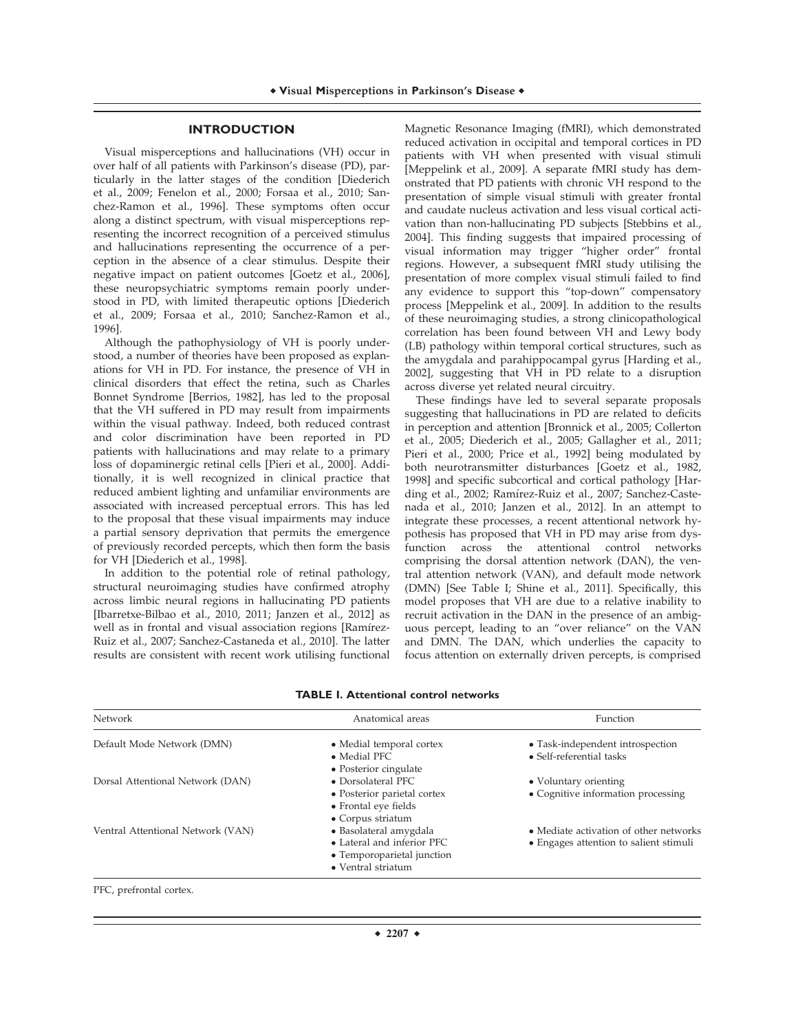# **INTRODUCTION**

Visual misperceptions and hallucinations (VH) occur in over half of all patients with Parkinson's disease (PD), particularly in the latter stages of the condition [Diederich et al., 2009; Fenelon et al., 2000; Forsaa et al., 2010; Sanchez-Ramon et al., 1996]. These symptoms often occur along a distinct spectrum, with visual misperceptions representing the incorrect recognition of a perceived stimulus and hallucinations representing the occurrence of a perception in the absence of a clear stimulus. Despite their negative impact on patient outcomes [Goetz et al., 2006], these neuropsychiatric symptoms remain poorly understood in PD, with limited therapeutic options [Diederich et al., 2009; Forsaa et al., 2010; Sanchez-Ramon et al., 1996].

Although the pathophysiology of VH is poorly understood, a number of theories have been proposed as explanations for VH in PD. For instance, the presence of VH in clinical disorders that effect the retina, such as Charles Bonnet Syndrome [Berrios, 1982], has led to the proposal that the VH suffered in PD may result from impairments within the visual pathway. Indeed, both reduced contrast and color discrimination have been reported in PD patients with hallucinations and may relate to a primary loss of dopaminergic retinal cells [Pieri et al., 2000]. Additionally, it is well recognized in clinical practice that reduced ambient lighting and unfamiliar environments are associated with increased perceptual errors. This has led to the proposal that these visual impairments may induce a partial sensory deprivation that permits the emergence of previously recorded percepts, which then form the basis for VH [Diederich et al., 1998].

In addition to the potential role of retinal pathology, structural neuroimaging studies have confirmed atrophy across limbic neural regions in hallucinating PD patients [Ibarretxe-Bilbao et al., 2010, 2011; Janzen et al., 2012] as well as in frontal and visual association regions [Ramírez-Ruiz et al., 2007; Sanchez-Castaneda et al., 2010]. The latter results are consistent with recent work utilising functional Magnetic Resonance Imaging (fMRI), which demonstrated reduced activation in occipital and temporal cortices in PD patients with VH when presented with visual stimuli [Meppelink et al., 2009]. A separate fMRI study has demonstrated that PD patients with chronic VH respond to the presentation of simple visual stimuli with greater frontal and caudate nucleus activation and less visual cortical activation than non-hallucinating PD subjects [Stebbins et al., 2004]. This finding suggests that impaired processing of visual information may trigger "higher order" frontal regions. However, a subsequent fMRI study utilising the presentation of more complex visual stimuli failed to find any evidence to support this "top-down" compensatory process [Meppelink et al., 2009]. In addition to the results of these neuroimaging studies, a strong clinicopathological correlation has been found between VH and Lewy body (LB) pathology within temporal cortical structures, such as the amygdala and parahippocampal gyrus [Harding et al., 2002], suggesting that VH in PD relate to a disruption across diverse yet related neural circuitry.

These findings have led to several separate proposals suggesting that hallucinations in PD are related to deficits in perception and attention [Bronnick et al., 2005; Collerton et al., 2005; Diederich et al., 2005; Gallagher et al., 2011; Pieri et al., 2000; Price et al., 1992] being modulated by both neurotransmitter disturbances [Goetz et al., 1982, 1998] and specific subcortical and cortical pathology [Harding et al., 2002; Ramírez-Ruiz et al., 2007; Sanchez-Castenada et al., 2010; Janzen et al., 2012]. In an attempt to integrate these processes, a recent attentional network hypothesis has proposed that VH in PD may arise from dysfunction across the attentional control networks comprising the dorsal attention network (DAN), the ventral attention network (VAN), and default mode network (DMN) [See Table I; Shine et al., 2011]. Specifically, this model proposes that VH are due to a relative inability to recruit activation in the DAN in the presence of an ambiguous percept, leading to an "over reliance" on the VAN and DMN. The DAN, which underlies the capacity to focus attention on externally driven percepts, is comprised

| Network                           | Anatomical areas            | Function                               |  |  |
|-----------------------------------|-----------------------------|----------------------------------------|--|--|
| Default Mode Network (DMN)        | • Medial temporal cortex    | • Task-independent introspection       |  |  |
|                                   | • Medial PFC                | • Self-referential tasks               |  |  |
|                                   | • Posterior cingulate       |                                        |  |  |
| Dorsal Attentional Network (DAN)  | • Dorsolateral PFC          | • Voluntary orienting                  |  |  |
|                                   | • Posterior parietal cortex | • Cognitive information processing     |  |  |
|                                   | • Frontal eye fields        |                                        |  |  |
|                                   | • Corpus striatum           |                                        |  |  |
| Ventral Attentional Network (VAN) | • Basolateral amygdala      | • Mediate activation of other networks |  |  |
|                                   | • Lateral and inferior PFC  | • Engages attention to salient stimuli |  |  |
|                                   | • Temporoparietal junction  |                                        |  |  |
|                                   | • Ventral striatum          |                                        |  |  |
| PFC. prefrontal cortex.           |                             |                                        |  |  |

|  |  | <b>TABLE I. Attentional control networks</b> |  |  |
|--|--|----------------------------------------------|--|--|
|--|--|----------------------------------------------|--|--|

PFC, prefrontal cortex.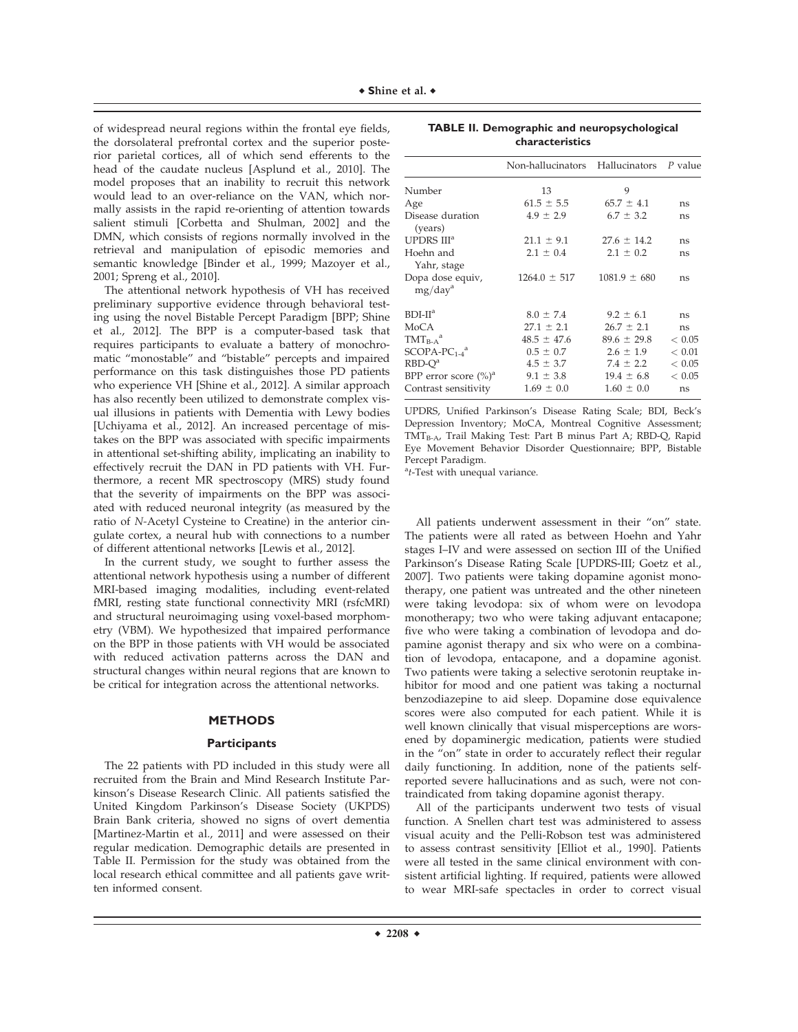of widespread neural regions within the frontal eye fields, the dorsolateral prefrontal cortex and the superior posterior parietal cortices, all of which send efferents to the head of the caudate nucleus [Asplund et al., 2010]. The model proposes that an inability to recruit this network would lead to an over-reliance on the VAN, which normally assists in the rapid re-orienting of attention towards salient stimuli [Corbetta and Shulman, 2002] and the DMN, which consists of regions normally involved in the retrieval and manipulation of episodic memories and semantic knowledge [Binder et al., 1999; Mazoyer et al., 2001; Spreng et al., 2010].

The attentional network hypothesis of VH has received preliminary supportive evidence through behavioral testing using the novel Bistable Percept Paradigm [BPP; Shine et al., 2012]. The BPP is a computer-based task that requires participants to evaluate a battery of monochromatic "monostable" and "bistable" percepts and impaired performance on this task distinguishes those PD patients who experience VH [Shine et al., 2012]. A similar approach has also recently been utilized to demonstrate complex visual illusions in patients with Dementia with Lewy bodies [Uchiyama et al., 2012]. An increased percentage of mistakes on the BPP was associated with specific impairments in attentional set-shifting ability, implicating an inability to effectively recruit the DAN in PD patients with VH. Furthermore, a recent MR spectroscopy (MRS) study found that the severity of impairments on the BPP was associated with reduced neuronal integrity (as measured by the ratio of N-Acetyl Cysteine to Creatine) in the anterior cingulate cortex, a neural hub with connections to a number of different attentional networks [Lewis et al., 2012].

In the current study, we sought to further assess the attentional network hypothesis using a number of different MRI-based imaging modalities, including event-related fMRI, resting state functional connectivity MRI (rsfcMRI) and structural neuroimaging using voxel-based morphometry (VBM). We hypothesized that impaired performance on the BPP in those patients with VH would be associated with reduced activation patterns across the DAN and structural changes within neural regions that are known to be critical for integration across the attentional networks.

#### **METHODS**

## **Participants**

The 22 patients with PD included in this study were all recruited from the Brain and Mind Research Institute Parkinson's Disease Research Clinic. All patients satisfied the United Kingdom Parkinson's Disease Society (UKPDS) Brain Bank criteria, showed no signs of overt dementia [Martinez-Martin et al., 2011] and were assessed on their regular medication. Demographic details are presented in Table II. Permission for the study was obtained from the local research ethical committee and all patients gave written informed consent.

|                                         | Non-hallucinators Hallucinators P value |                  |        |
|-----------------------------------------|-----------------------------------------|------------------|--------|
| Number                                  | 13                                      | 9                |        |
| Age                                     | $61.5 \pm 5.5$                          | $65.7 \pm 4.1$   | ns     |
| Disease duration<br>(years)             | $4.9 \pm 2.9$                           | $6.7 \pm 3.2$    | ns     |
| UPDRS III <sup>a</sup>                  | $21.1 \pm 9.1$                          | $27.6 \pm 14.2$  | ns     |
| Hoehn and<br>Yahr, stage                | $2.1 \pm 0.4$                           | $2.1 \pm 0.2$    | ns     |
| Dopa dose equiv,<br>mg/day <sup>a</sup> | $1264.0 \pm 517$                        | $1081.9 \pm 680$ | ns     |
| $BDI-IIa$                               | $8.0 \pm 7.4$                           | $9.2 \pm 6.1$    | ns     |
| MoCA                                    | $27.1 \pm 2.1$                          | $26.7 \pm 2.1$   | ns     |
| $TMT_{B-A}^a$                           | $48.5 \pm 47.6$                         | $89.6 \pm 29.8$  | < 0.05 |
| $SCOPA-PC1-4a$                          | $0.5 \pm 0.7$                           | $2.6 \pm 1.9$    | < 0.01 |
| $RBD-Oa$                                | $4.5 \pm 3.7$                           | $7.4 \pm 2.2$    | < 0.05 |
| BPP error score $(\%)^a$                | $9.1 \pm 3.8$                           | $19.4 \pm 6.8$   | < 0.05 |
| Contrast sensitivity                    | $1.69 \pm 0.0$                          | $1.60 \pm 0.0$   | ns     |

**TABLE II. Demographic and neuropsychological characteristics**

UPDRS, Unified Parkinson's Disease Rating Scale; BDI, Beck's Depression Inventory; MoCA, Montreal Cognitive Assessment; TMT<sub>B-A</sub>, Trail Making Test: Part B minus Part A; RBD-Q, Rapid Eye Movement Behavior Disorder Questionnaire; BPP, Bistable Percept Paradigm.

<sup>a</sup>t-Test with unequal variance.

All patients underwent assessment in their "on" state. The patients were all rated as between Hoehn and Yahr stages I–IV and were assessed on section III of the Unified Parkinson's Disease Rating Scale [UPDRS-III; Goetz et al., 2007]. Two patients were taking dopamine agonist monotherapy, one patient was untreated and the other nineteen were taking levodopa: six of whom were on levodopa monotherapy; two who were taking adjuvant entacapone; five who were taking a combination of levodopa and dopamine agonist therapy and six who were on a combination of levodopa, entacapone, and a dopamine agonist. Two patients were taking a selective serotonin reuptake inhibitor for mood and one patient was taking a nocturnal benzodiazepine to aid sleep. Dopamine dose equivalence scores were also computed for each patient. While it is well known clinically that visual misperceptions are worsened by dopaminergic medication, patients were studied in the "on" state in order to accurately reflect their regular daily functioning. In addition, none of the patients selfreported severe hallucinations and as such, were not contraindicated from taking dopamine agonist therapy.

All of the participants underwent two tests of visual function. A Snellen chart test was administered to assess visual acuity and the Pelli-Robson test was administered to assess contrast sensitivity [Elliot et al., 1990]. Patients were all tested in the same clinical environment with consistent artificial lighting. If required, patients were allowed to wear MRI-safe spectacles in order to correct visual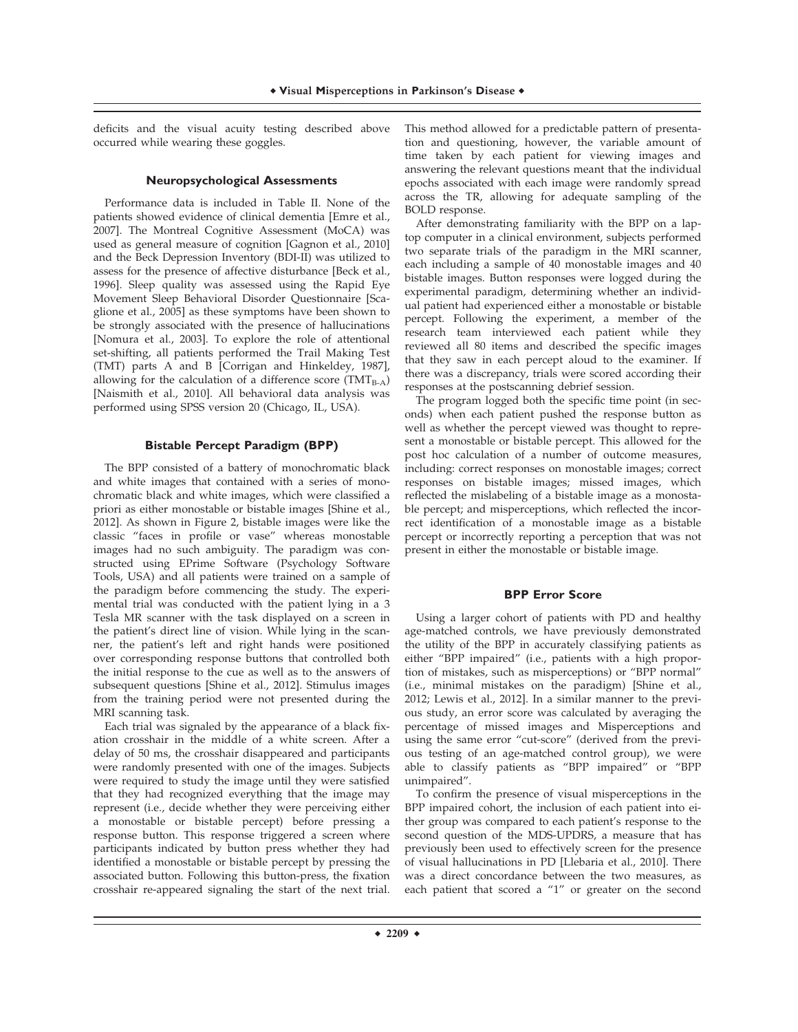deficits and the visual acuity testing described above occurred while wearing these goggles.

## **Neuropsychological Assessments**

Performance data is included in Table II. None of the patients showed evidence of clinical dementia [Emre et al., 2007]. The Montreal Cognitive Assessment (MoCA) was used as general measure of cognition [Gagnon et al., 2010] and the Beck Depression Inventory (BDI-II) was utilized to assess for the presence of affective disturbance [Beck et al., 1996]. Sleep quality was assessed using the Rapid Eye Movement Sleep Behavioral Disorder Questionnaire [Scaglione et al., 2005] as these symptoms have been shown to be strongly associated with the presence of hallucinations [Nomura et al., 2003]. To explore the role of attentional set-shifting, all patients performed the Trail Making Test (TMT) parts A and B [Corrigan and Hinkeldey, 1987], allowing for the calculation of a difference score  $(TMT_{B-A})$ [Naismith et al., 2010]. All behavioral data analysis was performed using SPSS version 20 (Chicago, IL, USA).

## **Bistable Percept Paradigm (BPP)**

The BPP consisted of a battery of monochromatic black and white images that contained with a series of monochromatic black and white images, which were classified a priori as either monostable or bistable images [Shine et al., 2012]. As shown in Figure 2, bistable images were like the classic "faces in profile or vase" whereas monostable images had no such ambiguity. The paradigm was constructed using EPrime Software (Psychology Software Tools, USA) and all patients were trained on a sample of the paradigm before commencing the study. The experimental trial was conducted with the patient lying in a 3 Tesla MR scanner with the task displayed on a screen in the patient's direct line of vision. While lying in the scanner, the patient's left and right hands were positioned over corresponding response buttons that controlled both the initial response to the cue as well as to the answers of subsequent questions [Shine et al., 2012]. Stimulus images from the training period were not presented during the MRI scanning task.

Each trial was signaled by the appearance of a black fixation crosshair in the middle of a white screen. After a delay of 50 ms, the crosshair disappeared and participants were randomly presented with one of the images. Subjects were required to study the image until they were satisfied that they had recognized everything that the image may represent (i.e., decide whether they were perceiving either a monostable or bistable percept) before pressing a response button. This response triggered a screen where participants indicated by button press whether they had identified a monostable or bistable percept by pressing the associated button. Following this button-press, the fixation crosshair re-appeared signaling the start of the next trial.

This method allowed for a predictable pattern of presentation and questioning, however, the variable amount of time taken by each patient for viewing images and answering the relevant questions meant that the individual epochs associated with each image were randomly spread across the TR, allowing for adequate sampling of the BOLD response.

After demonstrating familiarity with the BPP on a laptop computer in a clinical environment, subjects performed two separate trials of the paradigm in the MRI scanner, each including a sample of 40 monostable images and 40 bistable images. Button responses were logged during the experimental paradigm, determining whether an individual patient had experienced either a monostable or bistable percept. Following the experiment, a member of the research team interviewed each patient while they reviewed all 80 items and described the specific images that they saw in each percept aloud to the examiner. If there was a discrepancy, trials were scored according their responses at the postscanning debrief session.

The program logged both the specific time point (in seconds) when each patient pushed the response button as well as whether the percept viewed was thought to represent a monostable or bistable percept. This allowed for the post hoc calculation of a number of outcome measures, including: correct responses on monostable images; correct responses on bistable images; missed images, which reflected the mislabeling of a bistable image as a monostable percept; and misperceptions, which reflected the incorrect identification of a monostable image as a bistable percept or incorrectly reporting a perception that was not present in either the monostable or bistable image.

# **BPP Error Score**

Using a larger cohort of patients with PD and healthy age-matched controls, we have previously demonstrated the utility of the BPP in accurately classifying patients as either "BPP impaired" (i.e., patients with a high proportion of mistakes, such as misperceptions) or "BPP normal" (i.e., minimal mistakes on the paradigm) [Shine et al., 2012; Lewis et al., 2012]. In a similar manner to the previous study, an error score was calculated by averaging the percentage of missed images and Misperceptions and using the same error "cut-score" (derived from the previous testing of an age-matched control group), we were able to classify patients as "BPP impaired" or "BPP unimpaired".

To confirm the presence of visual misperceptions in the BPP impaired cohort, the inclusion of each patient into either group was compared to each patient's response to the second question of the MDS-UPDRS, a measure that has previously been used to effectively screen for the presence of visual hallucinations in PD [Llebaria et al., 2010]. There was a direct concordance between the two measures, as each patient that scored a "1" or greater on the second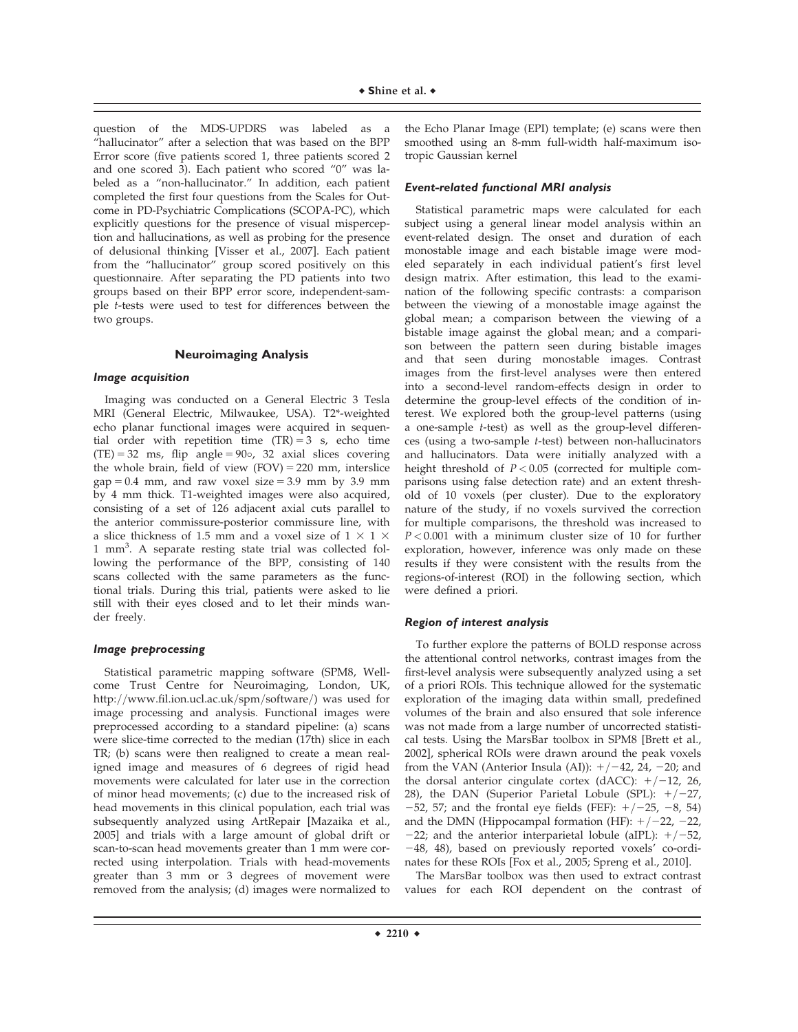question of the MDS-UPDRS was labeled as a "hallucinator" after a selection that was based on the BPP Error score (five patients scored 1, three patients scored 2 and one scored 3). Each patient who scored "0" was labeled as a "non-hallucinator." In addition, each patient completed the first four questions from the Scales for Outcome in PD-Psychiatric Complications (SCOPA-PC), which explicitly questions for the presence of visual misperception and hallucinations, as well as probing for the presence of delusional thinking [Visser et al., 2007]. Each patient from the "hallucinator" group scored positively on this questionnaire. After separating the PD patients into two groups based on their BPP error score, independent-sample t-tests were used to test for differences between the two groups.

## **Neuroimaging Analysis**

## Image acquisition

Imaging was conducted on a General Electric 3 Tesla MRI (General Electric, Milwaukee, USA). T2\*-weighted echo planar functional images were acquired in sequential order with repetition time  $(TR) = 3$  s, echo time  $(TE) = 32$  ms, flip angle = 90 $\circ$ , 32 axial slices covering the whole brain, field of view  $(FOV) = 220$  mm, interslice  $gap = 0.4$  mm, and raw voxel size = 3.9 mm by 3.9 mm by 4 mm thick. T1-weighted images were also acquired, consisting of a set of 126 adjacent axial cuts parallel to the anterior commissure-posterior commissure line, with a slice thickness of 1.5 mm and a voxel size of  $1 \times 1 \times$ 1 mm<sup>3</sup>. A separate resting state trial was collected following the performance of the BPP, consisting of 140 scans collected with the same parameters as the functional trials. During this trial, patients were asked to lie still with their eyes closed and to let their minds wander freely.

## Image preprocessing

Statistical parametric mapping software (SPM8, Wellcome Trust Centre for Neuroimaging, London, UK, http://www.fil.ion.ucl.ac.uk/spm/software/) was used for image processing and analysis. Functional images were preprocessed according to a standard pipeline: (a) scans were slice-time corrected to the median (17th) slice in each TR; (b) scans were then realigned to create a mean realigned image and measures of 6 degrees of rigid head movements were calculated for later use in the correction of minor head movements; (c) due to the increased risk of head movements in this clinical population, each trial was subsequently analyzed using ArtRepair [Mazaika et al., 2005] and trials with a large amount of global drift or scan-to-scan head movements greater than 1 mm were corrected using interpolation. Trials with head-movements greater than 3 mm or 3 degrees of movement were removed from the analysis; (d) images were normalized to the Echo Planar Image (EPI) template; (e) scans were then smoothed using an 8-mm full-width half-maximum isotropic Gaussian kernel

# Event-related functional MRI analysis

Statistical parametric maps were calculated for each subject using a general linear model analysis within an event-related design. The onset and duration of each monostable image and each bistable image were modeled separately in each individual patient's first level design matrix. After estimation, this lead to the examination of the following specific contrasts: a comparison between the viewing of a monostable image against the global mean; a comparison between the viewing of a bistable image against the global mean; and a comparison between the pattern seen during bistable images and that seen during monostable images. Contrast images from the first-level analyses were then entered into a second-level random-effects design in order to determine the group-level effects of the condition of interest. We explored both the group-level patterns (using a one-sample t-test) as well as the group-level differences (using a two-sample t-test) between non-hallucinators and hallucinators. Data were initially analyzed with a height threshold of  $P < 0.05$  (corrected for multiple comparisons using false detection rate) and an extent threshold of 10 voxels (per cluster). Due to the exploratory nature of the study, if no voxels survived the correction for multiple comparisons, the threshold was increased to  $P < 0.001$  with a minimum cluster size of 10 for further exploration, however, inference was only made on these results if they were consistent with the results from the regions-of-interest (ROI) in the following section, which were defined a priori.

# Region of interest analysis

To further explore the patterns of BOLD response across the attentional control networks, contrast images from the first-level analysis were subsequently analyzed using a set of a priori ROIs. This technique allowed for the systematic exploration of the imaging data within small, predefined volumes of the brain and also ensured that sole inference was not made from a large number of uncorrected statistical tests. Using the MarsBar toolbox in SPM8 [Brett et al., 2002], spherical ROIs were drawn around the peak voxels from the VAN (Anterior Insula (AI)):  $+/-42$ , 24, -20; and the dorsal anterior cingulate cortex (dACC):  $+/-12$ , 26, 28), the DAN (Superior Parietal Lobule (SPL):  $+/-27$ ,  $-52$ , 57; and the frontal eye fields (FEF):  $+/-25$ ,  $-8$ , 54) and the DMN (Hippocampal formation (HF):  $+/-22$ , -22,  $-22$ ; and the anterior interparietal lobule (aIPL):  $+/-52$ , 248, 48), based on previously reported voxels' co-ordinates for these ROIs [Fox et al., 2005; Spreng et al., 2010].

The MarsBar toolbox was then used to extract contrast values for each ROI dependent on the contrast of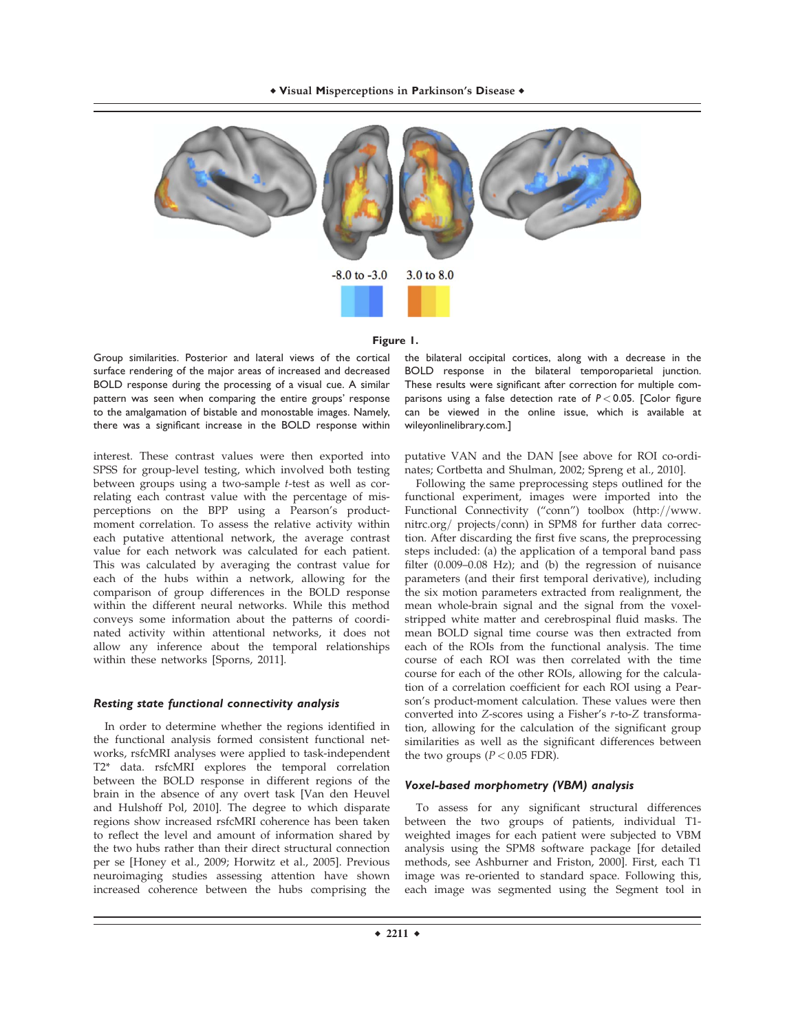

## **Figure 1.**

Group similarities. Posterior and lateral views of the cortical surface rendering of the major areas of increased and decreased BOLD response during the processing of a visual cue. A similar pattern was seen when comparing the entire groups' response to the amalgamation of bistable and monostable images. Namely, there was a significant increase in the BOLD response within

interest. These contrast values were then exported into SPSS for group-level testing, which involved both testing between groups using a two-sample t-test as well as correlating each contrast value with the percentage of misperceptions on the BPP using a Pearson's productmoment correlation. To assess the relative activity within each putative attentional network, the average contrast value for each network was calculated for each patient. This was calculated by averaging the contrast value for each of the hubs within a network, allowing for the comparison of group differences in the BOLD response within the different neural networks. While this method conveys some information about the patterns of coordinated activity within attentional networks, it does not allow any inference about the temporal relationships within these networks [Sporns, 2011].

## Resting state functional connectivity analysis

In order to determine whether the regions identified in the functional analysis formed consistent functional networks, rsfcMRI analyses were applied to task-independent T2\* data. rsfcMRI explores the temporal correlation between the BOLD response in different regions of the brain in the absence of any overt task [Van den Heuvel and Hulshoff Pol, 2010]. The degree to which disparate regions show increased rsfcMRI coherence has been taken to reflect the level and amount of information shared by the two hubs rather than their direct structural connection per se [Honey et al., 2009; Horwitz et al., 2005]. Previous neuroimaging studies assessing attention have shown increased coherence between the hubs comprising the the bilateral occipital cortices, along with a decrease in the BOLD response in the bilateral temporoparietal junction. These results were significant after correction for multiple comparisons using a false detection rate of *P* < 0.05. [Color figure can be viewed in the online issue, which is available at wileyonlinelibrary.com.]

putative VAN and the DAN [see above for ROI co-ordinates; Cortbetta and Shulman, 2002; Spreng et al., 2010].

Following the same preprocessing steps outlined for the functional experiment, images were imported into the Functional Connectivity ("conn") toolbox (http://www. nitrc.org/ projects/conn) in SPM8 for further data correction. After discarding the first five scans, the preprocessing steps included: (a) the application of a temporal band pass filter (0.009–0.08 Hz); and (b) the regression of nuisance parameters (and their first temporal derivative), including the six motion parameters extracted from realignment, the mean whole-brain signal and the signal from the voxelstripped white matter and cerebrospinal fluid masks. The mean BOLD signal time course was then extracted from each of the ROIs from the functional analysis. The time course of each ROI was then correlated with the time course for each of the other ROIs, allowing for the calculation of a correlation coefficient for each ROI using a Pearson's product-moment calculation. These values were then converted into Z-scores using a Fisher's r-to-Z transformation, allowing for the calculation of the significant group similarities as well as the significant differences between the two groups  $(P < 0.05$  FDR).

## Voxel-based morphometry (VBM) analysis

To assess for any significant structural differences between the two groups of patients, individual T1 weighted images for each patient were subjected to VBM analysis using the SPM8 software package [for detailed methods, see Ashburner and Friston, 2000]. First, each T1 image was re-oriented to standard space. Following this, each image was segmented using the Segment tool in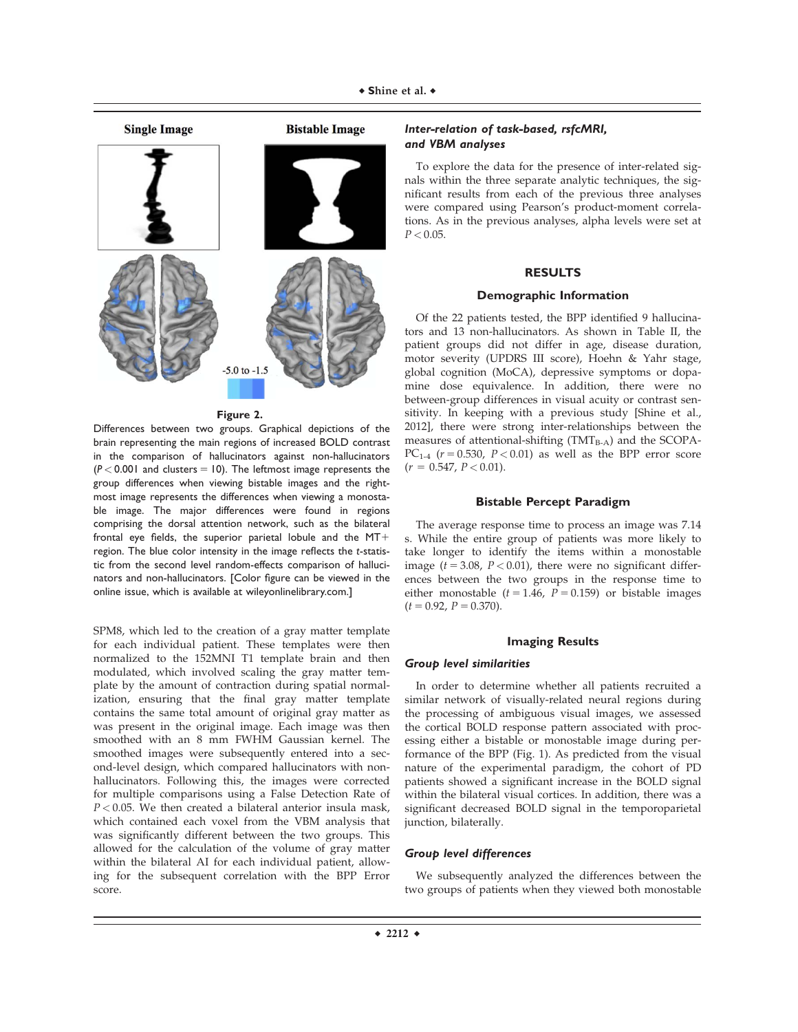

# **Figure 2.**

Differences between two groups. Graphical depictions of the brain representing the main regions of increased BOLD contrast in the comparison of hallucinators against non-hallucinators  $(P < 0.001$  and clusters = 10). The leftmost image represents the group differences when viewing bistable images and the rightmost image represents the differences when viewing a monostable image. The major differences were found in regions comprising the dorsal attention network, such as the bilateral frontal eye fields, the superior parietal lobule and the  $MT+$ region. The blue color intensity in the image reflects the *t*-statistic from the second level random-effects comparison of hallucinators and non-hallucinators. [Color figure can be viewed in the online issue, which is available at wileyonlinelibrary.com.]

SPM8, which led to the creation of a gray matter template for each individual patient. These templates were then normalized to the 152MNI T1 template brain and then modulated, which involved scaling the gray matter template by the amount of contraction during spatial normalization, ensuring that the final gray matter template contains the same total amount of original gray matter as was present in the original image. Each image was then smoothed with an 8 mm FWHM Gaussian kernel. The smoothed images were subsequently entered into a second-level design, which compared hallucinators with nonhallucinators. Following this, the images were corrected for multiple comparisons using a False Detection Rate of  $P < 0.05$ . We then created a bilateral anterior insula mask, which contained each voxel from the VBM analysis that was significantly different between the two groups. This allowed for the calculation of the volume of gray matter within the bilateral AI for each individual patient, allowing for the subsequent correlation with the BPP Error score.

# Inter-relation of task-based, rsfcMRI, and VBM analyses

To explore the data for the presence of inter-related signals within the three separate analytic techniques, the significant results from each of the previous three analyses were compared using Pearson's product-moment correlations. As in the previous analyses, alpha levels were set at  $P < 0.05$ .

# **RESULTS**

### **Demographic Information**

Of the 22 patients tested, the BPP identified 9 hallucinators and 13 non-hallucinators. As shown in Table II, the patient groups did not differ in age, disease duration, motor severity (UPDRS III score), Hoehn & Yahr stage, global cognition (MoCA), depressive symptoms or dopamine dose equivalence. In addition, there were no between-group differences in visual acuity or contrast sensitivity. In keeping with a previous study [Shine et al., 2012], there were strong inter-relationships between the measures of attentional-shifting  $(TMT_{B-A})$  and the SCOPA- $PC_{1-4}$  ( $r = 0.530$ ,  $P < 0.01$ ) as well as the BPP error score  $(r = 0.547, P < 0.01).$ 

# **Bistable Percept Paradigm**

The average response time to process an image was 7.14 s. While the entire group of patients was more likely to take longer to identify the items within a monostable image ( $t = 3.08$ ,  $P < 0.01$ ), there were no significant differences between the two groups in the response time to either monostable ( $t = 1.46$ ,  $P = 0.159$ ) or bistable images  $(t = 0.92, P = 0.370).$ 

## **Imaging Results**

## Group level similarities

In order to determine whether all patients recruited a similar network of visually-related neural regions during the processing of ambiguous visual images, we assessed the cortical BOLD response pattern associated with processing either a bistable or monostable image during performance of the BPP (Fig. 1). As predicted from the visual nature of the experimental paradigm, the cohort of PD patients showed a significant increase in the BOLD signal within the bilateral visual cortices. In addition, there was a significant decreased BOLD signal in the temporoparietal junction, bilaterally.

# Group level differences

We subsequently analyzed the differences between the two groups of patients when they viewed both monostable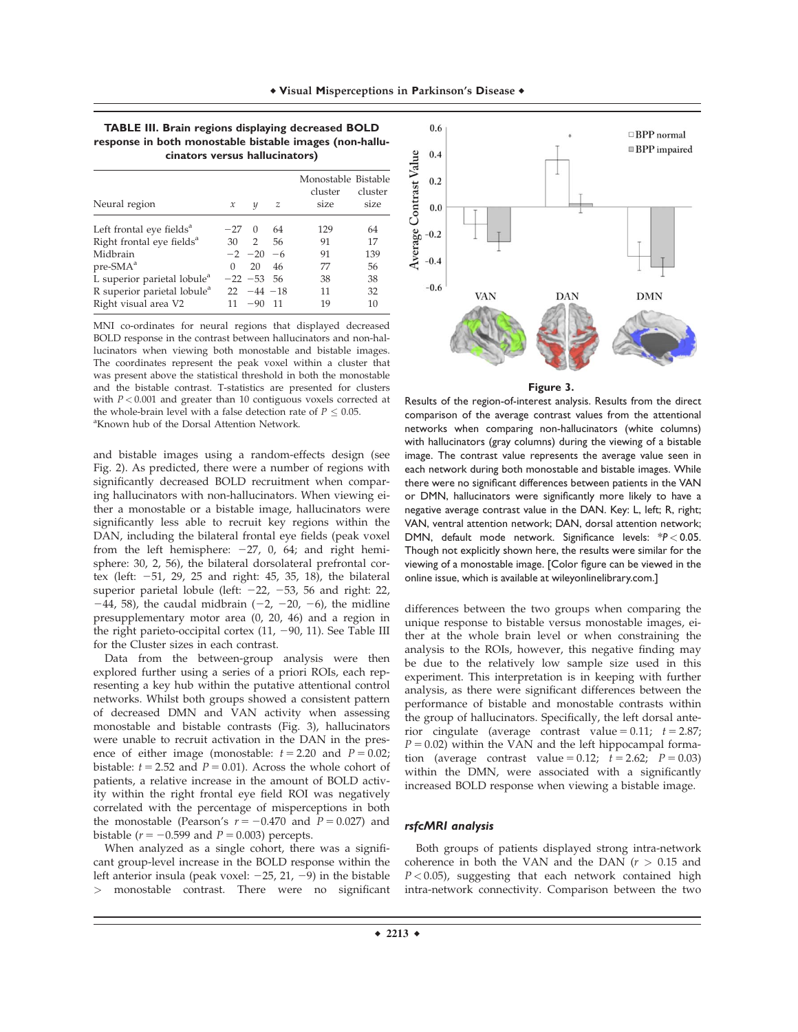|                                | <b>TABLE III. Brain regions displaying decreased BOLD</b> |
|--------------------------------|-----------------------------------------------------------|
|                                | response in both monostable bistable images (non-hallu-   |
| cinators versus hallucinators) |                                                           |

| Neural region                           | $\mathcal{X}$ | y                | z    | Monostable Bistable<br>cluster<br>size | cluster<br>size |
|-----------------------------------------|---------------|------------------|------|----------------------------------------|-----------------|
| Left frontal eye fields <sup>a</sup>    | $-27$         | $\left( \right)$ | 64   | 129                                    | 64              |
| Right frontal eye fields <sup>a</sup>   | 30            | 2                | 56   | 91                                     | 17              |
| Midbrain                                |               | $-2$ $-20$       | $-6$ | 91                                     | 139             |
| pre-SMA <sup>a</sup>                    | 0             | 20               | 46   | 77                                     | 56              |
| L superior parietal lobule <sup>a</sup> |               | $-22 - 53$ 56    |      | 38                                     | 38              |
| R superior parietal lobule <sup>a</sup> |               | $22 -44 -18$     |      | 11                                     | 32              |
| Right visual area V2                    |               | $-90$ 11         |      | 19                                     | 10              |

MNI co-ordinates for neural regions that displayed decreased BOLD response in the contrast between hallucinators and non-hallucinators when viewing both monostable and bistable images. The coordinates represent the peak voxel within a cluster that was present above the statistical threshold in both the monostable and the bistable contrast. T-statistics are presented for clusters with  $P < 0.001$  and greater than 10 contiguous voxels corrected at the whole-brain level with a false detection rate of  $P \leq 0.05$ . <sup>a</sup>Known hub of the Dorsal Attention Network.

and bistable images using a random-effects design (see Fig. 2). As predicted, there were a number of regions with significantly decreased BOLD recruitment when comparing hallucinators with non-hallucinators. When viewing either a monostable or a bistable image, hallucinators were significantly less able to recruit key regions within the DAN, including the bilateral frontal eye fields (peak voxel from the left hemisphere:  $-27$ , 0, 64; and right hemisphere: 30, 2, 56), the bilateral dorsolateral prefrontal cortex (left: -51, 29, 25 and right: 45, 35, 18), the bilateral superior parietal lobule (left:  $-22$ ,  $-53$ , 56 and right: 22,  $-44$ , 58), the caudal midbrain (-2, -20, -6), the midline presupplementary motor area (0, 20, 46) and a region in the right parieto-occipital cortex  $(11, -90, 11)$ . See Table III for the Cluster sizes in each contrast.

Data from the between-group analysis were then explored further using a series of a priori ROIs, each representing a key hub within the putative attentional control networks. Whilst both groups showed a consistent pattern of decreased DMN and VAN activity when assessing monostable and bistable contrasts (Fig. 3), hallucinators were unable to recruit activation in the DAN in the presence of either image (monostable:  $t = 2.20$  and  $P = 0.02$ ; bistable:  $t = 2.52$  and  $P = 0.01$ ). Across the whole cohort of patients, a relative increase in the amount of BOLD activity within the right frontal eye field ROI was negatively correlated with the percentage of misperceptions in both the monostable (Pearson's  $r = -0.470$  and  $P = 0.027$ ) and bistable ( $r = -0.599$  and  $P = 0.003$ ) percepts.

When analyzed as a single cohort, there was a significant group-level increase in the BOLD response within the left anterior insula (peak voxel:  $-25$ , 21,  $-9$ ) in the bistable > monostable contrast. There were no significant



Results of the region-of-interest analysis. Results from the direct comparison of the average contrast values from the attentional networks when comparing non-hallucinators (white columns) with hallucinators (gray columns) during the viewing of a bistable image. The contrast value represents the average value seen in each network during both monostable and bistable images. While there were no significant differences between patients in the VAN or DMN, hallucinators were significantly more likely to have a negative average contrast value in the DAN. Key: L, left; R, right; VAN, ventral attention network; DAN, dorsal attention network; DMN, default mode network. Significance levels: \**P* < 0.05. Though not explicitly shown here, the results were similar for the viewing of a monostable image. [Color figure can be viewed in the online issue, which is available at wileyonlinelibrary.com.]

differences between the two groups when comparing the unique response to bistable versus monostable images, either at the whole brain level or when constraining the analysis to the ROIs, however, this negative finding may be due to the relatively low sample size used in this experiment. This interpretation is in keeping with further analysis, as there were significant differences between the performance of bistable and monostable contrasts within the group of hallucinators. Specifically, the left dorsal anterior cingulate (average contrast value =  $0.11$ ;  $t = 2.87$ ;  $P = 0.02$ ) within the VAN and the left hippocampal formation (average contrast value = 0.12;  $t = 2.62$ ;  $P = 0.03$ ) within the DMN, were associated with a significantly increased BOLD response when viewing a bistable image.

# rsfcMRI analysis

Both groups of patients displayed strong intra-network coherence in both the VAN and the DAN  $(r > 0.15$  and  $P < 0.05$ ), suggesting that each network contained high intra-network connectivity. Comparison between the two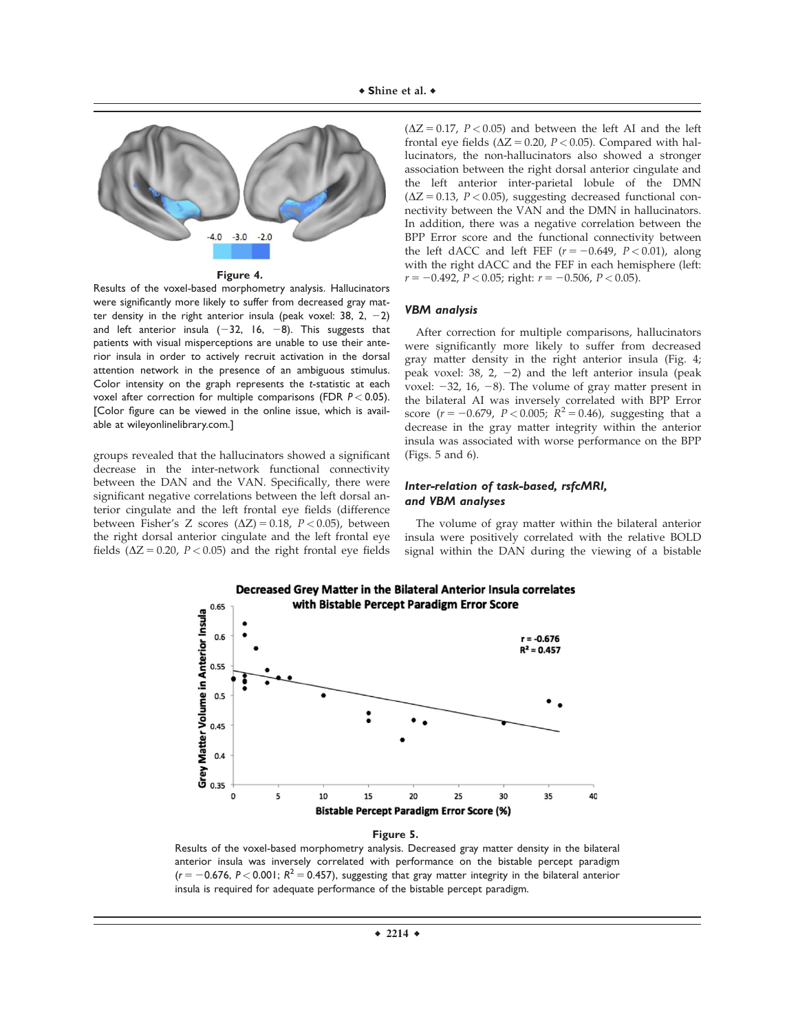

#### **Figure 4.**

Results of the voxel-based morphometry analysis. Hallucinators were significantly more likely to suffer from decreased gray matter density in the right anterior insula (peak voxel: 38, 2,  $-2$ ) and left anterior insula  $(-32, 16, -8)$ . This suggests that patients with visual misperceptions are unable to use their anterior insula in order to actively recruit activation in the dorsal attention network in the presence of an ambiguous stimulus. Color intensity on the graph represents the *t*-statistic at each voxel after correction for multiple comparisons (FDR *P* < 0.05). [Color figure can be viewed in the online issue, which is available at wileyonlinelibrary.com.]

groups revealed that the hallucinators showed a significant decrease in the inter-network functional connectivity between the DAN and the VAN. Specifically, there were significant negative correlations between the left dorsal anterior cingulate and the left frontal eye fields (difference between Fisher's Z scores ( $\Delta Z$ ) = 0.18, P < 0.05), between the right dorsal anterior cingulate and the left frontal eye fields ( $\Delta Z = 0.20$ ,  $P < 0.05$ ) and the right frontal eye fields  $(\Delta Z = 0.17, P < 0.05)$  and between the left AI and the left frontal eye fields ( $\Delta Z = 0.20$ ,  $P < 0.05$ ). Compared with hallucinators, the non-hallucinators also showed a stronger association between the right dorsal anterior cingulate and the left anterior inter-parietal lobule of the DMN  $(\Delta Z = 0.13, P < 0.05)$ , suggesting decreased functional connectivity between the VAN and the DMN in hallucinators. In addition, there was a negative correlation between the BPP Error score and the functional connectivity between the left dACC and left FEF  $(r = -0.649, P < 0.01)$ , along with the right dACC and the FEF in each hemisphere (left:  $r = -0.492$ ,  $P < 0.05$ ; right:  $r = -0.506$ ,  $P < 0.05$ ).

## VBM analysis

After correction for multiple comparisons, hallucinators were significantly more likely to suffer from decreased gray matter density in the right anterior insula (Fig. 4; peak voxel:  $38$ ,  $2$ ,  $-2$ ) and the left anterior insula (peak voxel:  $-32$ , 16,  $-8$ ). The volume of gray matter present in the bilateral AI was inversely correlated with BPP Error score ( $r = -0.679$ ,  $P < 0.005$ ;  $R^2 = 0.46$ ), suggesting that a decrease in the gray matter integrity within the anterior insula was associated with worse performance on the BPP (Figs. 5 and 6).

# Inter-relation of task-based, rsfcMRI, and VBM analyses

The volume of gray matter within the bilateral anterior insula were positively correlated with the relative BOLD signal within the DAN during the viewing of a bistable





Results of the voxel-based morphometry analysis. Decreased gray matter density in the bilateral anterior insula was inversely correlated with performance on the bistable percept paradigm  $(r = -0.676, P < 0.001; R^2 = 0.457)$ , suggesting that gray matter integrity in the bilateral anterior insula is required for adequate performance of the bistable percept paradigm.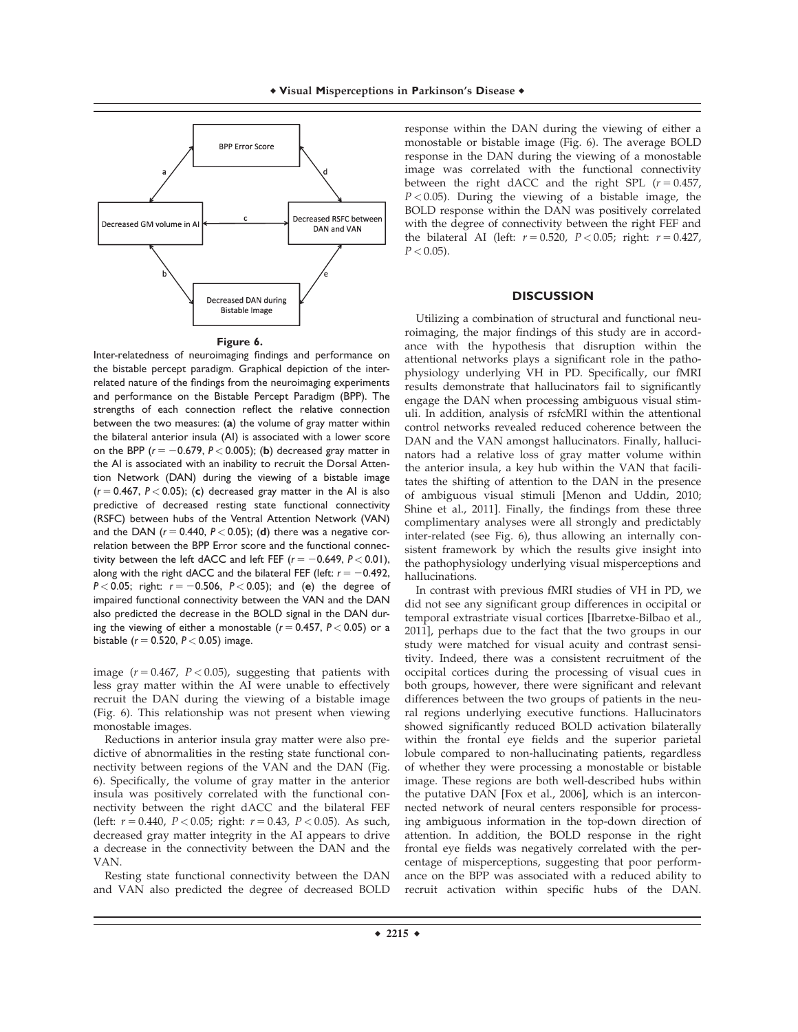

Inter-relatedness of neuroimaging findings and performance on the bistable percept paradigm. Graphical depiction of the interrelated nature of the findings from the neuroimaging experiments and performance on the Bistable Percept Paradigm (BPP). The strengths of each connection reflect the relative connection between the two measures: (**a**) the volume of gray matter within the bilateral anterior insula (AI) is associated with a lower score on the BPP  $(r = -0.679, P < 0.005)$ ; (b) decreased gray matter in the AI is associated with an inability to recruit the Dorsal Attention Network (DAN) during the viewing of a bistable image  $(r = 0.467, P < 0.05)$ ; (c) decreased gray matter in the AI is also predictive of decreased resting state functional connectivity (RSFC) between hubs of the Ventral Attention Network (VAN) and the DAN  $(r = 0.440, P < 0.05)$ ; (d) there was a negative correlation between the BPP Error score and the functional connectivity between the left dACC and left FEF  $(r = -0.649, P < 0.01)$ , along with the right dACC and the bilateral FEF (left:  $r = -0.492$ , *P* < 0.05; right:  $r = -0.506$ , *P* < 0.05); and (**e**) the degree of impaired functional connectivity between the VAN and the DAN also predicted the decrease in the BOLD signal in the DAN during the viewing of either a monostable ( $r = 0.457$ ,  $P < 0.05$ ) or a bistable (*r* 5 0.520, *P* < 0.05) image.

image  $(r = 0.467, P < 0.05)$ , suggesting that patients with less gray matter within the AI were unable to effectively recruit the DAN during the viewing of a bistable image (Fig. 6). This relationship was not present when viewing monostable images.

Reductions in anterior insula gray matter were also predictive of abnormalities in the resting state functional connectivity between regions of the VAN and the DAN (Fig. 6). Specifically, the volume of gray matter in the anterior insula was positively correlated with the functional connectivity between the right dACC and the bilateral FEF (left:  $r = 0.440$ ,  $P < 0.05$ ; right:  $r = 0.43$ ,  $P < 0.05$ ). As such, decreased gray matter integrity in the AI appears to drive a decrease in the connectivity between the DAN and the VAN.

Resting state functional connectivity between the DAN and VAN also predicted the degree of decreased BOLD response within the DAN during the viewing of either a monostable or bistable image (Fig. 6). The average BOLD response in the DAN during the viewing of a monostable image was correlated with the functional connectivity between the right dACC and the right SPL  $(r = 0.457)$ ,  $P < 0.05$ ). During the viewing of a bistable image, the BOLD response within the DAN was positively correlated with the degree of connectivity between the right FEF and the bilateral AI (left:  $r = 0.520$ ,  $P < 0.05$ ; right:  $r = 0.427$ ,  $P < 0.05$ ).

# **DISCUSSION**

Utilizing a combination of structural and functional neuroimaging, the major findings of this study are in accordance with the hypothesis that disruption within the attentional networks plays a significant role in the pathophysiology underlying VH in PD. Specifically, our fMRI results demonstrate that hallucinators fail to significantly engage the DAN when processing ambiguous visual stimuli. In addition, analysis of rsfcMRI within the attentional control networks revealed reduced coherence between the DAN and the VAN amongst hallucinators. Finally, hallucinators had a relative loss of gray matter volume within the anterior insula, a key hub within the VAN that facilitates the shifting of attention to the DAN in the presence of ambiguous visual stimuli [Menon and Uddin, 2010; Shine et al., 2011]. Finally, the findings from these three complimentary analyses were all strongly and predictably inter-related (see Fig. 6), thus allowing an internally consistent framework by which the results give insight into the pathophysiology underlying visual misperceptions and hallucinations.

In contrast with previous fMRI studies of VH in PD, we did not see any significant group differences in occipital or temporal extrastriate visual cortices [Ibarretxe-Bilbao et al., 2011], perhaps due to the fact that the two groups in our study were matched for visual acuity and contrast sensitivity. Indeed, there was a consistent recruitment of the occipital cortices during the processing of visual cues in both groups, however, there were significant and relevant differences between the two groups of patients in the neural regions underlying executive functions. Hallucinators showed significantly reduced BOLD activation bilaterally within the frontal eye fields and the superior parietal lobule compared to non-hallucinating patients, regardless of whether they were processing a monostable or bistable image. These regions are both well-described hubs within the putative DAN [Fox et al., 2006], which is an interconnected network of neural centers responsible for processing ambiguous information in the top-down direction of attention. In addition, the BOLD response in the right frontal eye fields was negatively correlated with the percentage of misperceptions, suggesting that poor performance on the BPP was associated with a reduced ability to recruit activation within specific hubs of the DAN.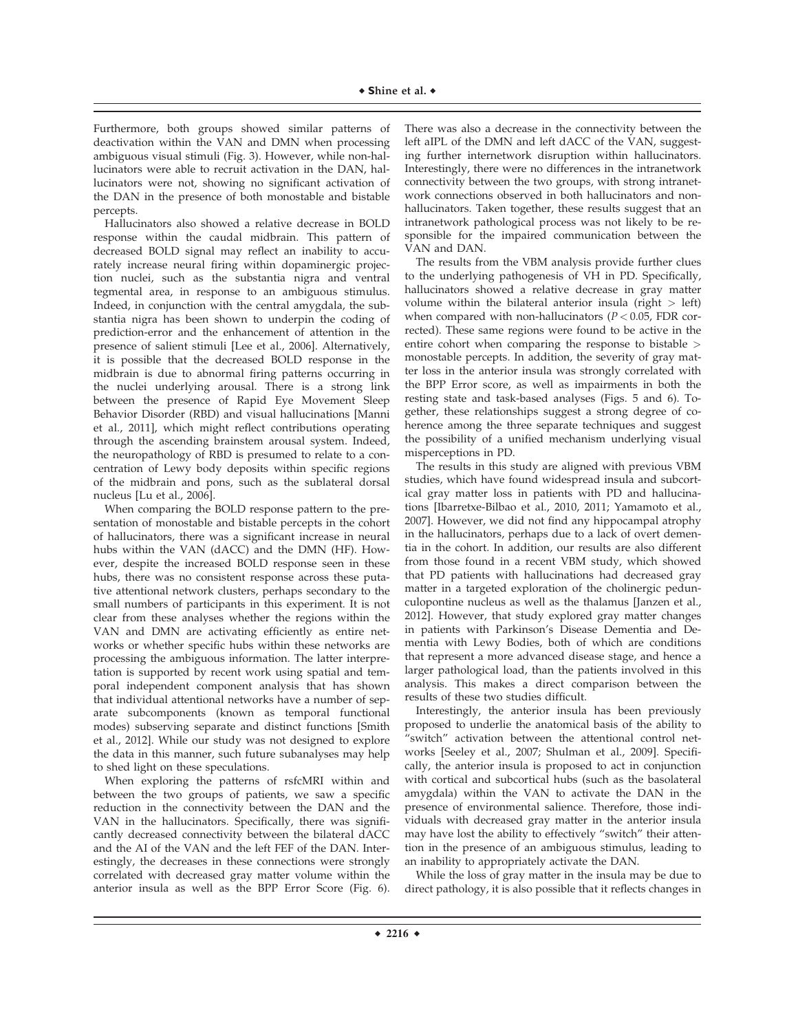Furthermore, both groups showed similar patterns of deactivation within the VAN and DMN when processing ambiguous visual stimuli (Fig. 3). However, while non-hallucinators were able to recruit activation in the DAN, hallucinators were not, showing no significant activation of the DAN in the presence of both monostable and bistable percepts.

Hallucinators also showed a relative decrease in BOLD response within the caudal midbrain. This pattern of decreased BOLD signal may reflect an inability to accurately increase neural firing within dopaminergic projection nuclei, such as the substantia nigra and ventral tegmental area, in response to an ambiguous stimulus. Indeed, in conjunction with the central amygdala, the substantia nigra has been shown to underpin the coding of prediction-error and the enhancement of attention in the presence of salient stimuli [Lee et al., 2006]. Alternatively, it is possible that the decreased BOLD response in the midbrain is due to abnormal firing patterns occurring in the nuclei underlying arousal. There is a strong link between the presence of Rapid Eye Movement Sleep Behavior Disorder (RBD) and visual hallucinations [Manni et al., 2011], which might reflect contributions operating through the ascending brainstem arousal system. Indeed, the neuropathology of RBD is presumed to relate to a concentration of Lewy body deposits within specific regions of the midbrain and pons, such as the sublateral dorsal nucleus [Lu et al., 2006].

When comparing the BOLD response pattern to the presentation of monostable and bistable percepts in the cohort of hallucinators, there was a significant increase in neural hubs within the VAN (dACC) and the DMN (HF). However, despite the increased BOLD response seen in these hubs, there was no consistent response across these putative attentional network clusters, perhaps secondary to the small numbers of participants in this experiment. It is not clear from these analyses whether the regions within the VAN and DMN are activating efficiently as entire networks or whether specific hubs within these networks are processing the ambiguous information. The latter interpretation is supported by recent work using spatial and temporal independent component analysis that has shown that individual attentional networks have a number of separate subcomponents (known as temporal functional modes) subserving separate and distinct functions [Smith et al., 2012]. While our study was not designed to explore the data in this manner, such future subanalyses may help to shed light on these speculations.

When exploring the patterns of rsfcMRI within and between the two groups of patients, we saw a specific reduction in the connectivity between the DAN and the VAN in the hallucinators. Specifically, there was significantly decreased connectivity between the bilateral dACC and the AI of the VAN and the left FEF of the DAN. Interestingly, the decreases in these connections were strongly correlated with decreased gray matter volume within the anterior insula as well as the BPP Error Score (Fig. 6).

There was also a decrease in the connectivity between the left aIPL of the DMN and left dACC of the VAN, suggesting further internetwork disruption within hallucinators. Interestingly, there were no differences in the intranetwork connectivity between the two groups, with strong intranetwork connections observed in both hallucinators and nonhallucinators. Taken together, these results suggest that an intranetwork pathological process was not likely to be responsible for the impaired communication between the VAN and DAN.

The results from the VBM analysis provide further clues to the underlying pathogenesis of VH in PD. Specifically, hallucinators showed a relative decrease in gray matter volume within the bilateral anterior insula (right  $>$  left) when compared with non-hallucinators ( $P < 0.05$ , FDR corrected). These same regions were found to be active in the entire cohort when comparing the response to bistable > monostable percepts. In addition, the severity of gray matter loss in the anterior insula was strongly correlated with the BPP Error score, as well as impairments in both the resting state and task-based analyses (Figs. 5 and 6). Together, these relationships suggest a strong degree of coherence among the three separate techniques and suggest the possibility of a unified mechanism underlying visual misperceptions in PD.

The results in this study are aligned with previous VBM studies, which have found widespread insula and subcortical gray matter loss in patients with PD and hallucinations [Ibarretxe-Bilbao et al., 2010, 2011; Yamamoto et al., 2007]. However, we did not find any hippocampal atrophy in the hallucinators, perhaps due to a lack of overt dementia in the cohort. In addition, our results are also different from those found in a recent VBM study, which showed that PD patients with hallucinations had decreased gray matter in a targeted exploration of the cholinergic pedunculopontine nucleus as well as the thalamus [Janzen et al., 2012]. However, that study explored gray matter changes in patients with Parkinson's Disease Dementia and Dementia with Lewy Bodies, both of which are conditions that represent a more advanced disease stage, and hence a larger pathological load, than the patients involved in this analysis. This makes a direct comparison between the results of these two studies difficult.

Interestingly, the anterior insula has been previously proposed to underlie the anatomical basis of the ability to "switch" activation between the attentional control networks [Seeley et al., 2007; Shulman et al., 2009]. Specifically, the anterior insula is proposed to act in conjunction with cortical and subcortical hubs (such as the basolateral amygdala) within the VAN to activate the DAN in the presence of environmental salience. Therefore, those individuals with decreased gray matter in the anterior insula may have lost the ability to effectively "switch" their attention in the presence of an ambiguous stimulus, leading to an inability to appropriately activate the DAN.

While the loss of gray matter in the insula may be due to direct pathology, it is also possible that it reflects changes in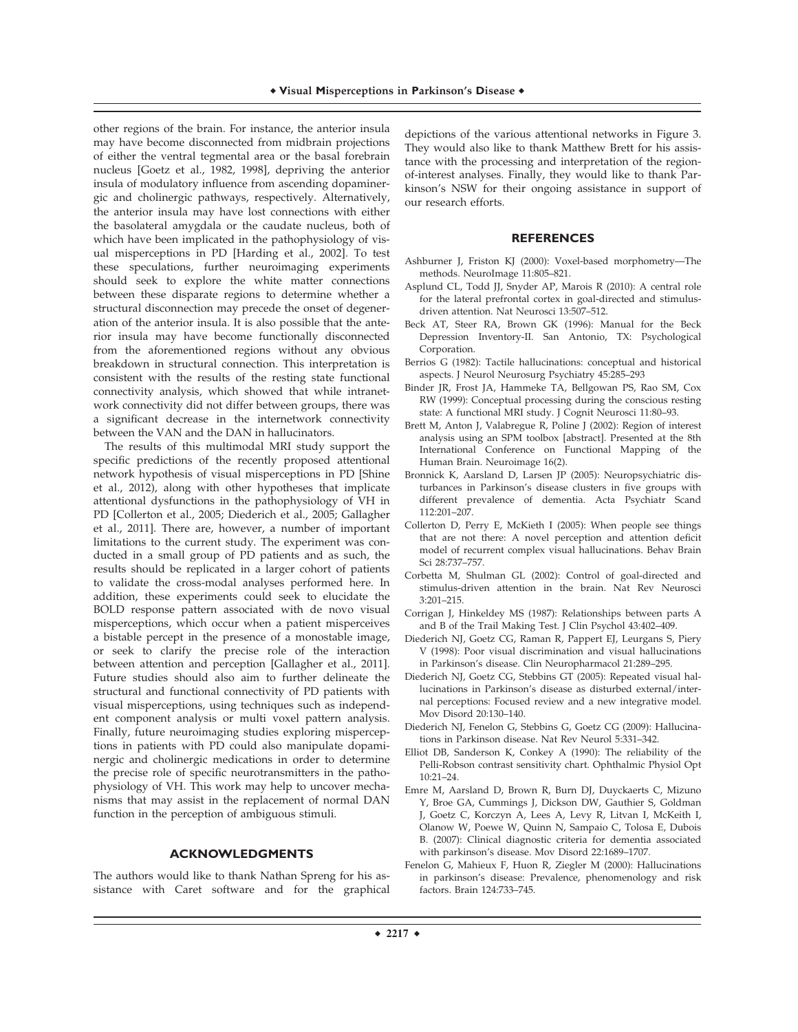other regions of the brain. For instance, the anterior insula may have become disconnected from midbrain projections of either the ventral tegmental area or the basal forebrain nucleus [Goetz et al., 1982, 1998], depriving the anterior insula of modulatory influence from ascending dopaminergic and cholinergic pathways, respectively. Alternatively, the anterior insula may have lost connections with either the basolateral amygdala or the caudate nucleus, both of which have been implicated in the pathophysiology of visual misperceptions in PD [Harding et al., 2002]. To test these speculations, further neuroimaging experiments should seek to explore the white matter connections between these disparate regions to determine whether a structural disconnection may precede the onset of degeneration of the anterior insula. It is also possible that the anterior insula may have become functionally disconnected from the aforementioned regions without any obvious breakdown in structural connection. This interpretation is consistent with the results of the resting state functional connectivity analysis, which showed that while intranetwork connectivity did not differ between groups, there was a significant decrease in the internetwork connectivity between the VAN and the DAN in hallucinators.

The results of this multimodal MRI study support the specific predictions of the recently proposed attentional network hypothesis of visual misperceptions in PD [Shine et al., 2012), along with other hypotheses that implicate attentional dysfunctions in the pathophysiology of VH in PD [Collerton et al., 2005; Diederich et al., 2005; Gallagher et al., 2011]. There are, however, a number of important limitations to the current study. The experiment was conducted in a small group of PD patients and as such, the results should be replicated in a larger cohort of patients to validate the cross-modal analyses performed here. In addition, these experiments could seek to elucidate the BOLD response pattern associated with de novo visual misperceptions, which occur when a patient misperceives a bistable percept in the presence of a monostable image, or seek to clarify the precise role of the interaction between attention and perception [Gallagher et al., 2011]. Future studies should also aim to further delineate the structural and functional connectivity of PD patients with visual misperceptions, using techniques such as independent component analysis or multi voxel pattern analysis. Finally, future neuroimaging studies exploring misperceptions in patients with PD could also manipulate dopaminergic and cholinergic medications in order to determine the precise role of specific neurotransmitters in the pathophysiology of VH. This work may help to uncover mechanisms that may assist in the replacement of normal DAN function in the perception of ambiguous stimuli.

# **ACKNOWLEDGMENTS**

The authors would like to thank Nathan Spreng for his assistance with Caret software and for the graphical depictions of the various attentional networks in Figure 3. They would also like to thank Matthew Brett for his assistance with the processing and interpretation of the regionof-interest analyses. Finally, they would like to thank Parkinson's NSW for their ongoing assistance in support of our research efforts.

# **REFERENCES**

- Ashburner J, Friston KJ (2000): Voxel-based morphometry—The methods. NeuroImage 11:805–821.
- Asplund CL, Todd JJ, Snyder AP, Marois R (2010): A central role for the lateral prefrontal cortex in goal-directed and stimulusdriven attention. Nat Neurosci 13:507–512.
- Beck AT, Steer RA, Brown GK (1996): Manual for the Beck Depression Inventory-II. San Antonio, TX: Psychological Corporation.
- Berrios G (1982): Tactile hallucinations: conceptual and historical aspects. J Neurol Neurosurg Psychiatry 45:285–293
- Binder JR, Frost JA, Hammeke TA, Bellgowan PS, Rao SM, Cox RW (1999): Conceptual processing during the conscious resting state: A functional MRI study. J Cognit Neurosci 11:80–93.
- Brett M, Anton J, Valabregue R, Poline J (2002): Region of interest analysis using an SPM toolbox [abstract]. Presented at the 8th International Conference on Functional Mapping of the Human Brain. Neuroimage 16(2).
- Bronnick K, Aarsland D, Larsen JP (2005): Neuropsychiatric disturbances in Parkinson's disease clusters in five groups with different prevalence of dementia. Acta Psychiatr Scand 112:201–207.
- Collerton D, Perry E, McKieth I (2005): When people see things that are not there: A novel perception and attention deficit model of recurrent complex visual hallucinations. Behav Brain Sci 28:737–757.
- Corbetta M, Shulman GL (2002): Control of goal-directed and stimulus-driven attention in the brain. Nat Rev Neurosci 3:201–215.
- Corrigan J, Hinkeldey MS (1987): Relationships between parts A and B of the Trail Making Test. J Clin Psychol 43:402–409.
- Diederich NJ, Goetz CG, Raman R, Pappert EJ, Leurgans S, Piery V (1998): Poor visual discrimination and visual hallucinations in Parkinson's disease. Clin Neuropharmacol 21:289–295.
- Diederich NJ, Goetz CG, Stebbins GT (2005): Repeated visual hallucinations in Parkinson's disease as disturbed external/internal perceptions: Focused review and a new integrative model. Mov Disord 20:130–140.
- Diederich NJ, Fenelon G, Stebbins G, Goetz CG (2009): Hallucinations in Parkinson disease. Nat Rev Neurol 5:331–342.
- Elliot DB, Sanderson K, Conkey A (1990): The reliability of the Pelli-Robson contrast sensitivity chart. Ophthalmic Physiol Opt 10:21–24.
- Emre M, Aarsland D, Brown R, Burn DJ, Duyckaerts C, Mizuno Y, Broe GA, Cummings J, Dickson DW, Gauthier S, Goldman J, Goetz C, Korczyn A, Lees A, Levy R, Litvan I, McKeith I, Olanow W, Poewe W, Quinn N, Sampaio C, Tolosa E, Dubois B. (2007): Clinical diagnostic criteria for dementia associated with parkinson's disease. Mov Disord 22:1689–1707.
- Fenelon G, Mahieux F, Huon R, Ziegler M (2000): Hallucinations in parkinson's disease: Prevalence, phenomenology and risk factors. Brain 124:733–745.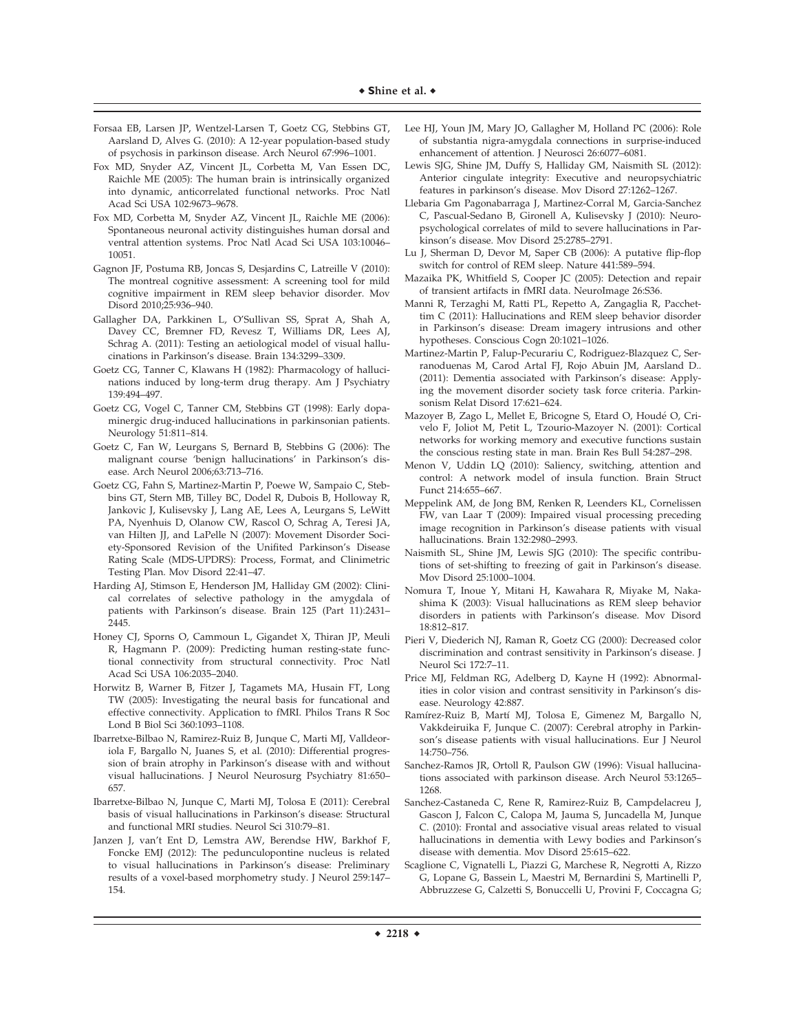- Forsaa EB, Larsen JP, Wentzel-Larsen T, Goetz CG, Stebbins GT, Aarsland D, Alves G. (2010): A 12-year population-based study of psychosis in parkinson disease. Arch Neurol 67:996–1001.
- Fox MD, Snyder AZ, Vincent JL, Corbetta M, Van Essen DC, Raichle ME (2005): The human brain is intrinsically organized into dynamic, anticorrelated functional networks. Proc Natl Acad Sci USA 102:9673–9678.
- Fox MD, Corbetta M, Snyder AZ, Vincent JL, Raichle ME (2006): Spontaneous neuronal activity distinguishes human dorsal and ventral attention systems. Proc Natl Acad Sci USA 103:10046– 10051.
- Gagnon JF, Postuma RB, Joncas S, Desjardins C, Latreille V (2010): The montreal cognitive assessment: A screening tool for mild cognitive impairment in REM sleep behavior disorder. Mov Disord 2010;25:936–940.
- Gallagher DA, Parkkinen L, O'Sullivan SS, Sprat A, Shah A, Davey CC, Bremner FD, Revesz T, Williams DR, Lees AJ, Schrag A. (2011): Testing an aetiological model of visual hallucinations in Parkinson's disease. Brain 134:3299–3309.
- Goetz CG, Tanner C, Klawans H (1982): Pharmacology of hallucinations induced by long-term drug therapy. Am J Psychiatry 139:494–497.
- Goetz CG, Vogel C, Tanner CM, Stebbins GT (1998): Early dopaminergic drug-induced hallucinations in parkinsonian patients. Neurology 51:811–814.
- Goetz C, Fan W, Leurgans S, Bernard B, Stebbins G (2006): The malignant course 'benign hallucinations' in Parkinson's disease. Arch Neurol 2006;63:713–716.
- Goetz CG, Fahn S, Martinez-Martin P, Poewe W, Sampaio C, Stebbins GT, Stern MB, Tilley BC, Dodel R, Dubois B, Holloway R, Jankovic J, Kulisevsky J, Lang AE, Lees A, Leurgans S, LeWitt PA, Nyenhuis D, Olanow CW, Rascol O, Schrag A, Teresi JA, van Hilten JJ, and LaPelle N (2007): Movement Disorder Society-Sponsored Revision of the Unifited Parkinson's Disease Rating Scale (MDS-UPDRS): Process, Format, and Clinimetric Testing Plan. Mov Disord 22:41–47.
- Harding AJ, Stimson E, Henderson JM, Halliday GM (2002): Clinical correlates of selective pathology in the amygdala of patients with Parkinson's disease. Brain 125 (Part 11):2431– 2445.
- Honey CJ, Sporns O, Cammoun L, Gigandet X, Thiran JP, Meuli R, Hagmann P. (2009): Predicting human resting-state functional connectivity from structural connectivity. Proc Natl Acad Sci USA 106:2035–2040.
- Horwitz B, Warner B, Fitzer J, Tagamets MA, Husain FT, Long TW (2005): Investigating the neural basis for funcational and effective connectivity. Application to fMRI. Philos Trans R Soc Lond B Biol Sci 360:1093–1108.
- Ibarretxe-Bilbao N, Ramirez-Ruiz B, Junque C, Marti MJ, Valldeoriola F, Bargallo N, Juanes S, et al. (2010): Differential progression of brain atrophy in Parkinson's disease with and without visual hallucinations. J Neurol Neurosurg Psychiatry 81:650-657.
- Ibarretxe-Bilbao N, Junque C, Marti MJ, Tolosa E (2011): Cerebral basis of visual hallucinations in Parkinson's disease: Structural and functional MRI studies. Neurol Sci 310:79–81.
- Janzen J, van't Ent D, Lemstra AW, Berendse HW, Barkhof F, Foncke EMJ (2012): The pedunculopontine nucleus is related to visual hallucinations in Parkinson's disease: Preliminary results of a voxel-based morphometry study. J Neurol 259:147– 154.
- Lee HJ, Youn JM, Mary JO, Gallagher M, Holland PC (2006): Role of substantia nigra-amygdala connections in surprise-induced enhancement of attention. J Neurosci 26:6077–6081.
- Lewis SJG, Shine JM, Duffy S, Halliday GM, Naismith SL (2012): Anterior cingulate integrity: Executive and neuropsychiatric features in parkinson's disease. Mov Disord 27:1262–1267.
- Llebaria Gm Pagonabarraga J, Martinez-Corral M, Garcia-Sanchez C, Pascual-Sedano B, Gironell A, Kulisevsky J (2010): Neuropsychological correlates of mild to severe hallucinations in Parkinson's disease. Mov Disord 25:2785–2791.
- Lu J, Sherman D, Devor M, Saper CB (2006): A putative flip-flop switch for control of REM sleep. Nature 441:589–594.
- Mazaika PK, Whitfield S, Cooper JC (2005): Detection and repair of transient artifacts in fMRI data. NeuroImage 26:S36.
- Manni R, Terzaghi M, Ratti PL, Repetto A, Zangaglia R, Pacchettim C (2011): Hallucinations and REM sleep behavior disorder in Parkinson's disease: Dream imagery intrusions and other hypotheses. Conscious Cogn 20:1021–1026.
- Martinez-Martin P, Falup-Pecurariu C, Rodriguez-Blazquez C, Serranoduenas M, Carod Artal FJ, Rojo Abuin JM, Aarsland D.. (2011): Dementia associated with Parkinson's disease: Applying the movement disorder society task force criteria. Parkinsonism Relat Disord 17:621–624.
- Mazoyer B, Zago L, Mellet E, Bricogne S, Etard O, Houdé O, Crivelo F, Joliot M, Petit L, Tzourio-Mazoyer N. (2001): Cortical networks for working memory and executive functions sustain the conscious resting state in man. Brain Res Bull 54:287–298.
- Menon V, Uddin LQ (2010): Saliency, switching, attention and control: A network model of insula function. Brain Struct Funct 214:655–667.
- Meppelink AM, de Jong BM, Renken R, Leenders KL, Cornelissen FW, van Laar T (2009): Impaired visual processing preceding image recognition in Parkinson's disease patients with visual hallucinations. Brain 132:2980–2993.
- Naismith SL, Shine JM, Lewis SJG (2010): The specific contributions of set-shifting to freezing of gait in Parkinson's disease. Mov Disord 25:1000–1004.
- Nomura T, Inoue Y, Mitani H, Kawahara R, Miyake M, Nakashima K (2003): Visual hallucinations as REM sleep behavior disorders in patients with Parkinson's disease. Mov Disord 18:812–817.
- Pieri V, Diederich NJ, Raman R, Goetz CG (2000): Decreased color discrimination and contrast sensitivity in Parkinson's disease. J Neurol Sci 172:7–11.
- Price MJ, Feldman RG, Adelberg D, Kayne H (1992): Abnormalities in color vision and contrast sensitivity in Parkinson's disease. Neurology 42:887.
- Ramírez-Ruiz B, Martí MJ, Tolosa E, Gimenez M, Bargallo N, Vakkdeiruika F, Junque C. (2007): Cerebral atrophy in Parkinson's disease patients with visual hallucinations. Eur J Neurol 14:750–756.
- Sanchez-Ramos JR, Ortoll R, Paulson GW (1996): Visual hallucinations associated with parkinson disease. Arch Neurol 53:1265– 1268.
- Sanchez-Castaneda C, Rene R, Ramirez-Ruiz B, Campdelacreu J, Gascon J, Falcon C, Calopa M, Jauma S, Juncadella M, Junque C. (2010): Frontal and associative visual areas related to visual hallucinations in dementia with Lewy bodies and Parkinson's disease with dementia. Mov Disord 25:615–622.
- Scaglione C, Vignatelli L, Piazzi G, Marchese R, Negrotti A, Rizzo G, Lopane G, Bassein L, Maestri M, Bernardini S, Martinelli P, Abbruzzese G, Calzetti S, Bonuccelli U, Provini F, Coccagna G;